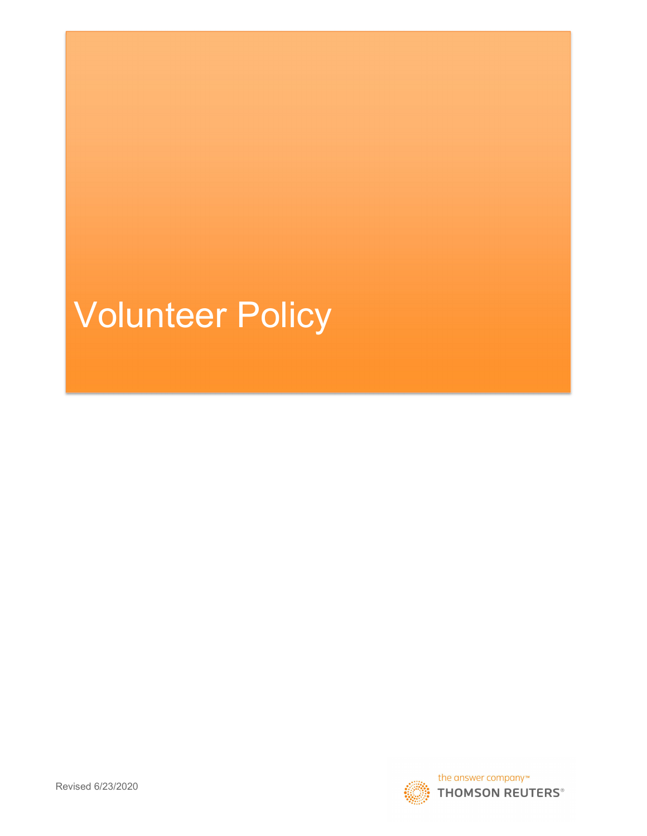# Volunteer Policy

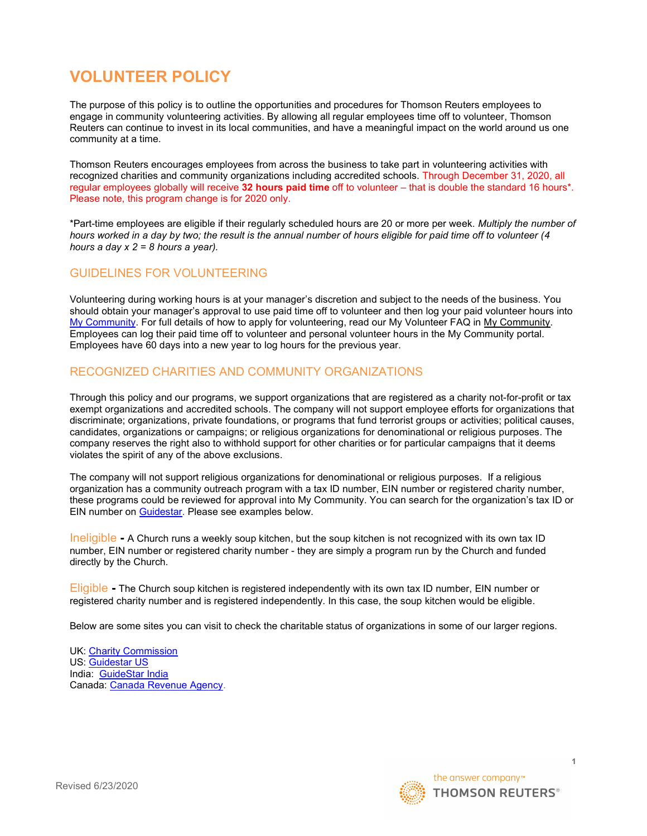## VOLUNTEER POLICY

The purpose of this policy is to outline the opportunities and procedures for Thomson Reuters employees to engage in community volunteering activities. By allowing all regular employees time off to volunteer, Thomson Reuters can continue to invest in its local communities, and have a meaningful impact on the world around us one community at a time.

Thomson Reuters encourages employees from across the business to take part in volunteering activities with recognized charities and community organizations including accredited schools. Through December 31, 2020, all regular employees globally will receive 32 hours paid time off to volunteer – that is double the standard 16 hours\*. Please note, this program change is for 2020 only.

\*Part-time employees are eligible if their regularly scheduled hours are 20 or more per week. Multiply the number of hours worked in a day by two; the result is the annual number of hours eligible for paid time off to volunteer (4 hours a day  $x$  2 = 8 hours a year).

#### GUIDELINES FOR VOLUNTEERING

Volunteering during working hours is at your manager's discretion and subject to the needs of the business. You should obtain your manager's approval to use paid time off to volunteer and then log your paid volunteer hours into My Community. For full details of how to apply for volunteering, read our My Volunteer FAQ in My Community. Employees can log their paid time off to volunteer and personal volunteer hours in the My Community portal. Employees have 60 days into a new year to log hours for the previous year.

#### RECOGNIZED CHARITIES AND COMMUNITY ORGANIZATIONS

Through this policy and our programs, we support organizations that are registered as a charity not-for-profit or tax exempt organizations and accredited schools. The company will not support employee efforts for organizations that discriminate; organizations, private foundations, or programs that fund terrorist groups or activities; political causes, candidates, organizations or campaigns; or religious organizations for denominational or religious purposes. The company reserves the right also to withhold support for other charities or for particular campaigns that it deems violates the spirit of any of the above exclusions.

The company will not support religious organizations for denominational or religious purposes. If a religious organization has a community outreach program with a tax ID number, EIN number or registered charity number, these programs could be reviewed for approval into My Community. You can search for the organization's tax ID or EIN number on Guidestar. Please see examples below.

Ineligible - A Church runs a weekly soup kitchen, but the soup kitchen is not recognized with its own tax ID number, EIN number or registered charity number - they are simply a program run by the Church and funded directly by the Church.

Eligible - The Church soup kitchen is registered independently with its own tax ID number, EIN number or registered charity number and is registered independently. In this case, the soup kitchen would be eligible.

Below are some sites you can visit to check the charitable status of organizations in some of our larger regions.

UK: Charity Commission US: Guidestar US India: GuideStar India Canada: Canada Revenue Agency.



1